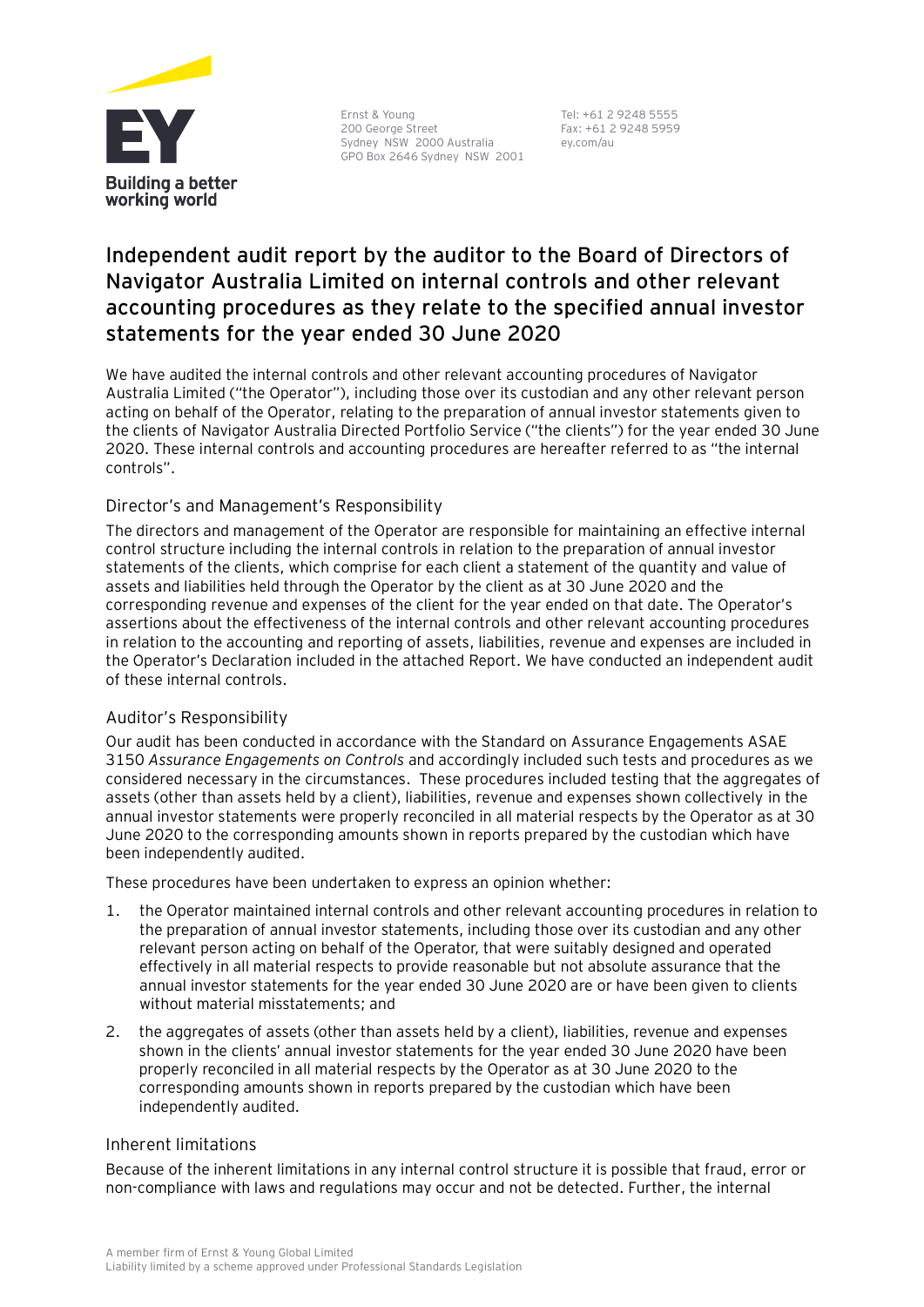

Ernst & Young 200 George Street Sydney NSW 2000 Australia GPO Box 2646 Sydney NSW 2001

Tel: +61 2 9248 5555 Fax: +61 2 9248 5959 ey.com/au

# **Independent audit report by the auditor to the Board of Directors of Navigator Australia Limited on internal controls and other relevant accounting procedures as they relate to the specified annual investor statements for the year ended 30 June 2020**

We have audited the internal controls and other relevant accounting procedures of Navigator Australia Limited ("the Operator"), including those over its custodian and any other relevant person acting on behalf of the Operator, relating to the preparation of annual investor statements given to the clients of Navigator Australia Directed Portfolio Service ("the clients") for the year ended 30 June 2020. These internal controls and accounting procedures are hereafter referred to as "the internal controls".

## Director's and Management's Responsibility

The directors and management of the Operator are responsible for maintaining an effective internal control structure including the internal controls in relation to the preparation of annual investor statements of the clients, which comprise for each client a statement of the quantity and value of assets and liabilities held through the Operator by the client as at 30 June 2020 and the corresponding revenue and expenses of the client for the year ended on that date. The Operator's assertions about the effectiveness of the internal controls and other relevant accounting procedures in relation to the accounting and reporting of assets, liabilities, revenue and expenses are included in the Operator's Declaration included in the attached Report. We have conducted an independent audit of these internal controls.

### Auditor's Responsibility

Our audit has been conducted in accordance with the Standard on Assurance Engagements ASAE 3150 *Assurance Engagements on Controls* and accordingly included such tests and procedures as we considered necessary in the circumstances. These procedures included testing that the aggregates of assets (other than assets held by a client), liabilities, revenue and expenses shown collectively in the annual investor statements were properly reconciled in all material respects by the Operator as at 30 June 2020 to the corresponding amounts shown in reports prepared by the custodian which have been independently audited.

These procedures have been undertaken to express an opinion whether:

- 1. the Operator maintained internal controls and other relevant accounting procedures in relation to the preparation of annual investor statements, including those over its custodian and any other relevant person acting on behalf of the Operator, that were suitably designed and operated effectively in all material respects to provide reasonable but not absolute assurance that the annual investor statements for the year ended 30 June 2020 are or have been given to clients without material misstatements; and
- 2. the aggregates of assets (other than assets held by a client), liabilities, revenue and expenses shown in the clients' annual investor statements for the year ended 30 June 2020 have been properly reconciled in all material respects by the Operator as at 30 June 2020 to the corresponding amounts shown in reports prepared by the custodian which have been independently audited.

### Inherent limitations

Because of the inherent limitations in any internal control structure it is possible that fraud, error or non-compliance with laws and regulations may occur and not be detected. Further, the internal